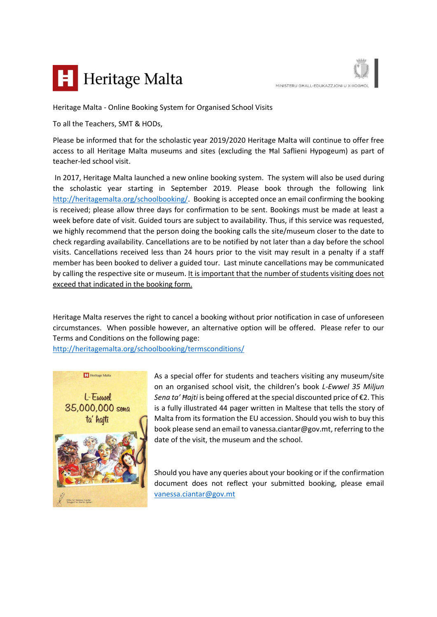



Heritage Malta - Online Booking System for Organised School Visits

To all the Teachers, SMT & HODs,

Please be informed that for the scholastic year 2019/2020 Heritage Malta will continue to offer free access to all Heritage Malta museums and sites (excluding the Ħal Saflieni Hypogeum) as part of teacher-led school visit.

In 2017, Heritage Malta launched a new online booking system. The system will also be used during the scholastic year starting in September 2019. Please book through the following link [http://heritagemalta.org/schoolbooking/.](http://heritagemalta.org/schoolbooking/) Booking is accepted once an email confirming the booking is received; please allow three days for confirmation to be sent. Bookings must be made at least a week before date of visit. Guided tours are subject to availability. Thus, if this service was requested, we highly recommend that the person doing the booking calls the site/museum closer to the date to check regarding availability. Cancellations are to be notified by not later than a day before the school visits. Cancellations received less than 24 hours prior to the visit may result in a penalty if a staff member has been booked to deliver a guided tour. Last minute cancellations may be communicated by calling the respective site or museum. It is important that the number of students visiting does not exceed that indicated in the booking form.

Heritage Malta reserves the right to cancel a booking without prior notification in case of unforeseen circumstances. When possible however, an alternative option will be offered. Please refer to our Terms and Conditions on the following page:

<http://heritagemalta.org/schoolbooking/termsconditions/>



As a special offer for students and teachers visiting any museum/site on an organised school visit, the children's book *L-Ewwel 35 Miljun Sena ta' Ħajti* is being offered at the special discounted price of €2. This is a fully illustrated 44 pager written in Maltese that tells the story of Malta from its formation the EU accession. Should you wish to buy this book please send an email to vanessa.ciantar@gov.mt, referring to the date of the visit, the museum and the school.

Should you have any queries about your booking or if the confirmation document does not reflect your submitted booking, please email [vanessa.ciantar@gov.mt](mailto:vanessa.ciantar@gov.mt)